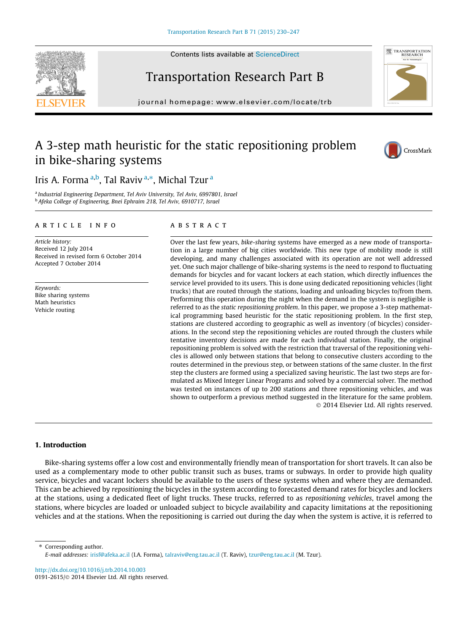Contents lists available at [ScienceDirect](http://www.sciencedirect.com/science/journal/01912615)





# Transportation Research Part B

journal homepage: [www.elsevier.com/locate/trb](http://www.elsevier.com/locate/trb)

# A 3-step math heuristic for the static repositioning problem in bike-sharing systems



# Iris A. Forma <sup>a,b</sup>, Tal Raviv <sup>a,\*</sup>, Michal Tzur <sup>a</sup>

<sup>a</sup> Industrial Engineering Department, Tel Aviv University, Tel Aviv, 6997801, Israel <sup>b</sup> Afeka College of Engineering, Bnei Ephraim 218, Tel Aviv, 6910717, Israel

#### article info

Article history: Received 12 July 2014 Received in revised form 6 October 2014 Accepted 7 October 2014

Keywords: Bike sharing systems Math heuristics Vehicle routing

# **ABSTRACT**

Over the last few years, bike-sharing systems have emerged as a new mode of transportation in a large number of big cities worldwide. This new type of mobility mode is still developing, and many challenges associated with its operation are not well addressed yet. One such major challenge of bike-sharing systems is the need to respond to fluctuating demands for bicycles and for vacant lockers at each station, which directly influences the service level provided to its users. This is done using dedicated repositioning vehicles (light trucks) that are routed through the stations, loading and unloading bicycles to/from them. Performing this operation during the night when the demand in the system is negligible is referred to as the static repositioning problem. In this paper, we propose a 3-step mathematical programming based heuristic for the static repositioning problem. In the first step, stations are clustered according to geographic as well as inventory (of bicycles) considerations. In the second step the repositioning vehicles are routed through the clusters while tentative inventory decisions are made for each individual station. Finally, the original repositioning problem is solved with the restriction that traversal of the repositioning vehicles is allowed only between stations that belong to consecutive clusters according to the routes determined in the previous step, or between stations of the same cluster. In the first step the clusters are formed using a specialized saving heuristic. The last two steps are formulated as Mixed Integer Linear Programs and solved by a commercial solver. The method was tested on instances of up to 200 stations and three repositioning vehicles, and was shown to outperform a previous method suggested in the literature for the same problem. - 2014 Elsevier Ltd. All rights reserved.

#### 1. Introduction

Bike-sharing systems offer a low cost and environmentally friendly mean of transportation for short travels. It can also be used as a complementary mode to other public transit such as buses, trams or subways. In order to provide high quality service, bicycles and vacant lockers should be available to the users of these systems when and where they are demanded. This can be achieved by repositioning the bicycles in the system according to forecasted demand rates for bicycles and lockers at the stations, using a dedicated fleet of light trucks. These trucks, referred to as repositioning vehicles, travel among the stations, where bicycles are loaded or unloaded subject to bicycle availability and capacity limitations at the repositioning vehicles and at the stations. When the repositioning is carried out during the day when the system is active, it is referred to

Corresponding author. E-mail addresses: [irisf@afeka.ac.il](mailto:irisf@afeka.ac.il) (I.A. Forma), [talraviv@eng.tau.ac.il](mailto:talraviv@eng.tau.ac.il) (T. Raviv), [tzur@eng.tau.ac.il](mailto:tzur@eng.tau.ac.il) (M. Tzur).

<http://dx.doi.org/10.1016/j.trb.2014.10.003> 0191-2615/© 2014 Elsevier Ltd. All rights reserved.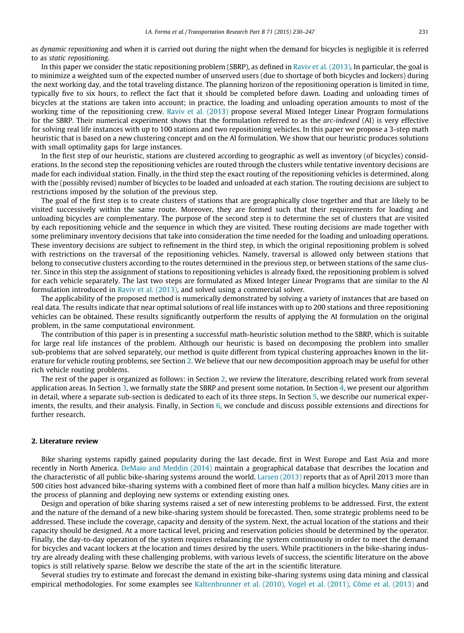In this paper we consider the static repositioning problem (SBRP), as defined in [Raviv et al. \(2013\)](#page-16-0). In particular, the goal is to minimize a weighted sum of the expected number of unserved users (due to shortage of both bicycles and lockers) during the next working day, and the total traveling distance. The planning horizon of the repositioning operation is limited in time, typically five to six hours, to reflect the fact that it should be completed before dawn. Loading and unloading times of bicycles at the stations are taken into account; in practice, the loading and unloading operation amounts to most of the working time of the repositioning crew. [Raviv et al. \(2013\)](#page-16-0) propose several Mixed Integer Linear Program formulations for the SBRP. Their numerical experiment shows that the formulation referred to as the arc-indexed (AI) is very effective for solving real life instances with up to 100 stations and two repositioning vehicles. In this paper we propose a 3-step math heuristic that is based on a new clustering concept and on the AI formulation. We show that our heuristic produces solutions with small optimality gaps for large instances.

In the first step of our heuristic, stations are clustered according to geographic as well as inventory (of bicycles) considerations. In the second step the repositioning vehicles are routed through the clusters while tentative inventory decisions are made for each individual station. Finally, in the third step the exact routing of the repositioning vehicles is determined, along with the (possibly revised) number of bicycles to be loaded and unloaded at each station. The routing decisions are subject to restrictions imposed by the solution of the previous step.

The goal of the first step is to create clusters of stations that are geographically close together and that are likely to be visited successively within the same route. Moreover, they are formed such that their requirements for loading and unloading bicycles are complementary. The purpose of the second step is to determine the set of clusters that are visited by each repositioning vehicle and the sequence in which they are visited. These routing decisions are made together with some preliminary inventory decisions that take into consideration the time needed for the loading and unloading operations. These inventory decisions are subject to refinement in the third step, in which the original repositioning problem is solved with restrictions on the traversal of the repositioning vehicles. Namely, traversal is allowed only between stations that belong to consecutive clusters according to the routes determined in the previous step, or between stations of the same cluster. Since in this step the assignment of stations to repositioning vehicles is already fixed, the repositioning problem is solved for each vehicle separately. The last two steps are formulated as Mixed Integer Linear Programs that are similar to the AI formulation introduced in [Raviv et al. \(2013\),](#page-16-0) and solved using a commercial solver.

The applicability of the proposed method is numerically demonstrated by solving a variety of instances that are based on real data. The results indicate that near optimal solutions of real life instances with up to 200 stations and three repositioning vehicles can be obtained. These results significantly outperform the results of applying the AI formulation on the original problem, in the same computational environment.

The contribution of this paper is in presenting a successful math-heuristic solution method to the SBRP, which is suitable for large real life instances of the problem. Although our heuristic is based on decomposing the problem into smaller sub-problems that are solved separately, our method is quite different from typical clustering approaches known in the literature for vehicle routing problems, see Section 2. We believe that our new decomposition approach may be useful for other rich vehicle routing problems.

The rest of the paper is organized as follows: in Section 2, we review the literature, describing related work from several application areas. In Section [3,](#page-3-0) we formally state the SBRP and present some notation. In Section [4,](#page-4-0) we present our algorithm in detail, where a separate sub-section is dedicated to each of its three steps. In Section [5,](#page-7-0) we describe our numerical experiments, the results, and their analysis. Finally, in Section [6](#page-11-0), we conclude and discuss possible extensions and directions for further research.

# 2. Literature review

Bike sharing systems rapidly gained popularity during the last decade, first in West Europe and East Asia and more recently in North America. [DeMaio and Meddin \(2014\)](#page-16-0) maintain a geographical database that describes the location and the characteristic of all public bike-sharing systems around the world. [Larsen \(2013\)](#page-16-0) reports that as of April 2013 more than 500 cities host advanced bike-sharing systems with a combined fleet of more than half a million bicycles. Many cities are in the process of planning and deploying new systems or extending existing ones.

Design and operation of bike sharing systems raised a set of new interesting problems to be addressed. First, the extent and the nature of the demand of a new bike-sharing system should be forecasted. Then, some strategic problems need to be addressed. These include the coverage, capacity and density of the system. Next, the actual location of the stations and their capacity should be designed. At a more tactical level, pricing and reservation policies should be determined by the operator. Finally, the day-to-day operation of the system requires rebalancing the system continuously in order to meet the demand for bicycles and vacant lockers at the location and times desired by the users. While practitioners in the bike-sharing industry are already dealing with these challenging problems, with various levels of success, the scientific literature on the above topics is still relatively sparse. Below we describe the state of the art in the scientific literature.

Several studies try to estimate and forecast the demand in existing bike-sharing systems using data mining and classical empirical methodologies. For some examples see [Kaltenbrunner et al. \(2010\), Vogel et al. \(2011\), Côme et al. \(2013\)](#page-16-0) and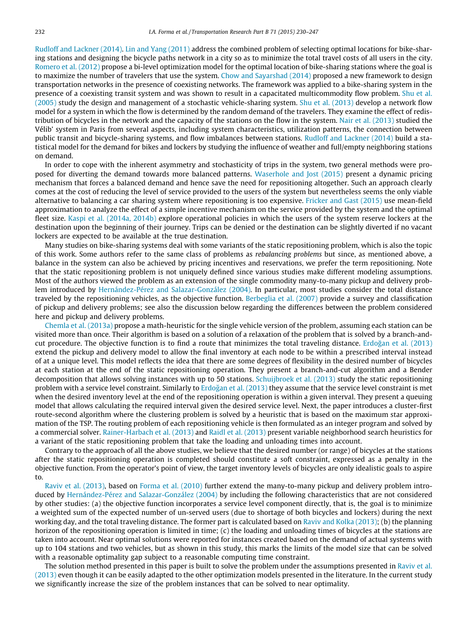[Rudloff and Lackner \(2014\)](#page-16-0). [Lin and Yang \(2011\)](#page-16-0) address the combined problem of selecting optimal locations for bike-sharing stations and designing the bicycle paths network in a city so as to minimize the total travel costs of all users in the city. [Romero et al. \(2012\)](#page-16-0) propose a bi-level optimization model for the optimal location of bike-sharing stations where the goal is to maximize the number of travelers that use the system. [Chow and Sayarshad \(2014\)](#page-16-0) proposed a new framework to design transportation networks in the presence of coexisting networks. The framework was applied to a bike-sharing system in the presence of a coexisting transit system and was shown to result in a capacitated multicommodity flow problem. [Shu et al.](#page-17-0) [\(2005\)](#page-17-0) study the design and management of a stochastic vehicle-sharing system. [Shu et al. \(2013\)](#page-17-0) develop a network flow model for a system in which the flow is determined by the random demand of the travelers. They examine the effect of redistribution of bicycles in the network and the capacity of the stations on the flow in the system. [Nair et al. \(2013\)](#page-16-0) studied the Vélib' system in Paris from several aspects, including system characteristics, utilization patterns, the connection between public transit and bicycle-sharing systems, and flow imbalances between stations. [Rudloff and Lackner \(2014\)](#page-16-0) build a statistical model for the demand for bikes and lockers by studying the influence of weather and full/empty neighboring stations on demand.

In order to cope with the inherent asymmetry and stochasticity of trips in the system, two general methods were proposed for diverting the demand towards more balanced patterns. [Waserhole and Jost \(2015\)](#page-17-0) present a dynamic pricing mechanism that forces a balanced demand and hence save the need for repositioning altogether. Such an approach clearly comes at the cost of reducing the level of service provided to the users of the system but nevertheless seems the only viable alternative to balancing a car sharing system where repositioning is too expensive. [Fricker and Gast \(2015\)](#page-16-0) use mean-field approximation to analyze the effect of a simple incentive mechanism on the service provided by the system and the optimal fleet size. [Kaspi et al. \(2014a, 2014b\)](#page-16-0) explore operational policies in which the users of the system reserve lockers at the destination upon the beginning of their journey. Trips can be denied or the destination can be slightly diverted if no vacant lockers are expected to be available at the true destination.

Many studies on bike-sharing systems deal with some variants of the static repositioning problem, which is also the topic of this work. Some authors refer to the same class of problems as rebalancing problems but since, as mentioned above, a balance in the system can also be achieved by pricing incentives and reservations, we prefer the term repositioning. Note that the static repositioning problem is not uniquely defined since various studies make different modeling assumptions. Most of the authors viewed the problem as an extension of the single commodity many-to-many pickup and delivery problem introduced by [Hernández-Pérez and Salazar-González \(2004\)](#page-16-0). In particular, most studies consider the total distance traveled by the repositioning vehicles, as the objective function. [Berbeglia et al. \(2007\)](#page-16-0) provide a survey and classification of pickup and delivery problems; see also the discussion below regarding the differences between the problem considered here and pickup and delivery problems.

[Chemla et al. \(2013a\)](#page-16-0) propose a math-heuristic for the single vehicle version of the problem, assuming each station can be visited more than once. Their algorithm is based on a solution of a relaxation of the problem that is solved by a branch-andcut procedure. The objective function is to find a route that minimizes the total traveling distance. Erdoğan et al. (2013) extend the pickup and delivery model to allow the final inventory at each node to be within a prescribed interval instead of at a unique level. This model reflects the idea that there are some degrees of flexibility in the desired number of bicycles at each station at the end of the static repositioning operation. They present a branch-and-cut algorithm and a Bender decomposition that allows solving instances with up to 50 stations. [Schuijbroek et al. \(2013\)](#page-16-0) study the static repositioning problem with a service level constraint. Similarly to Erdoğan et al. (2013) they assume that the service level constraint is met when the desired inventory level at the end of the repositioning operation is within a given interval. They present a queuing model that allows calculating the required interval given the desired service level. Next, the paper introduces a cluster-first route-second algorithm where the clustering problem is solved by a heuristic that is based on the maximum star approximation of the TSP. The routing problem of each repositioning vehicle is then formulated as an integer program and solved by a commercial solver. [Rainer-Harbach et al. \(2013\)](#page-16-0) and [Raidl et al. \(2013\)](#page-16-0) present variable neighborhood search heuristics for a variant of the static repositioning problem that take the loading and unloading times into account.

Contrary to the approach of all the above studies, we believe that the desired number (or range) of bicycles at the stations after the static repositioning operation is completed should constitute a soft constraint, expressed as a penalty in the objective function. From the operator's point of view, the target inventory levels of bicycles are only idealistic goals to aspire to.

[Raviv et al. \(2013\),](#page-16-0) based on [Forma et al. \(2010\)](#page-16-0) further extend the many-to-many pickup and delivery problem introduced by [Hernández-Pérez and Salazar-González \(2004\)](#page-16-0) by including the following characteristics that are not considered by other studies: (a) the objective function incorporates a service level component directly, that is, the goal is to minimize a weighted sum of the expected number of un-served users (due to shortage of both bicycles and lockers) during the next working day, and the total traveling distance. The former part is calculated based on [Raviv and Kolka \(2013\)](#page-16-0); (b) the planning horizon of the repositioning operation is limited in time; (c) the loading and unloading times of bicycles at the stations are taken into account. Near optimal solutions were reported for instances created based on the demand of actual systems with up to 104 stations and two vehicles, but as shown in this study, this marks the limits of the model size that can be solved with a reasonable optimality gap subject to a reasonable computing time constraint.

The solution method presented in this paper is built to solve the problem under the assumptions presented in [Raviv et al.](#page-16-0) [\(2013\)](#page-16-0) even though it can be easily adapted to the other optimization models presented in the literature. In the current study we significantly increase the size of the problem instances that can be solved to near optimality.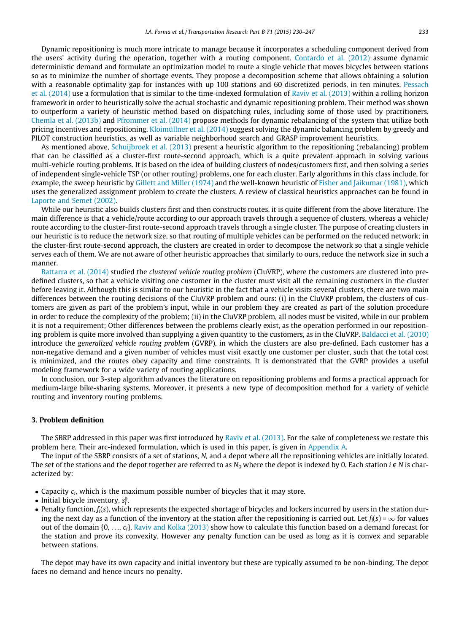<span id="page-3-0"></span>Dynamic repositioning is much more intricate to manage because it incorporates a scheduling component derived from the users' activity during the operation, together with a routing component. [Contardo et al. \(2012\)](#page-16-0) assume dynamic deterministic demand and formulate an optimization model to route a single vehicle that moves bicycles between stations so as to minimize the number of shortage events. They propose a decomposition scheme that allows obtaining a solution with a reasonable optimality gap for instances with up 100 stations and 60 discretized periods, in ten minutes. [Pessach](#page-16-0) [et al. \(2014\)](#page-16-0) use a formulation that is similar to the time-indexed formulation of [Raviv et al. \(2013\)](#page-16-0) within a rolling horizon framework in order to heuristically solve the actual stochastic and dynamic repositioning problem. Their method was shown to outperform a variety of heuristic method based on dispatching rules, including some of those used by practitioners. [Chemla et al. \(2013b\)](#page-16-0) and [Pfrommer et al. \(2014\)](#page-16-0) propose methods for dynamic rebalancing of the system that utilize both pricing incentives and repositioning. [Kloimüllner et al. \(2014\)](#page-16-0) suggest solving the dynamic balancing problem by greedy and PILOT construction heuristics, as well as variable neighborhood search and GRASP improvement heuristics.

As mentioned above, [Schuijbroek et al. \(2013\)](#page-16-0) present a heuristic algorithm to the repositioning (rebalancing) problem that can be classified as a cluster-first route-second approach, which is a quite prevalent approach in solving various multi-vehicle routing problems. It is based on the idea of building clusters of nodes/customers first, and then solving a series of independent single-vehicle TSP (or other routing) problems, one for each cluster. Early algorithms in this class include, for example, the sweep heuristic by [Gillett and Miller \(1974\)](#page-16-0) and the well-known heuristic of [Fisher and Jaikumar \(1981\)](#page-16-0), which uses the generalized assignment problem to create the clusters. A review of classical heuristics approaches can be found in [Laporte and Semet \(2002\).](#page-16-0)

While our heuristic also builds clusters first and then constructs routes, it is quite different from the above literature. The main difference is that a vehicle/route according to our approach travels through a sequence of clusters, whereas a vehicle/ route according to the cluster-first route-second approach travels through a single cluster. The purpose of creating clusters in our heuristic is to reduce the network size, so that routing of multiple vehicles can be performed on the reduced network; in the cluster-first route-second approach, the clusters are created in order to decompose the network so that a single vehicle serves each of them. We are not aware of other heuristic approaches that similarly to ours, reduce the network size in such a manner.

[Battarra et al. \(2014\)](#page-16-0) studied the clustered vehicle routing problem (CluVRP), where the customers are clustered into predefined clusters, so that a vehicle visiting one customer in the cluster must visit all the remaining customers in the cluster before leaving it. Although this is similar to our heuristic in the fact that a vehicle visits several clusters, there are two main differences between the routing decisions of the CluVRP problem and ours: (i) in the CluVRP problem, the clusters of customers are given as part of the problem's input, while in our problem they are created as part of the solution procedure in order to reduce the complexity of the problem; (ii) in the CluVRP problem, all nodes must be visited, while in our problem it is not a requirement; Other differences between the problems clearly exist, as the operation performed in our repositioning problem is quite more involved than supplying a given quantity to the customers, as in the CluVRP. [Baldacci et al. \(2010\)](#page-16-0) introduce the generalized vehicle routing problem (GVRP), in which the clusters are also pre-defined. Each customer has a non-negative demand and a given number of vehicles must visit exactly one customer per cluster, such that the total cost is minimized, and the routes obey capacity and time constraints. It is demonstrated that the GVRP provides a useful modeling framework for a wide variety of routing applications.

In conclusion, our 3-step algorithm advances the literature on repositioning problems and forms a practical approach for medium-large bike-sharing systems. Moreover, it presents a new type of decomposition method for a variety of vehicle routing and inventory routing problems.

### 3. Problem definition

The SBRP addressed in this paper was first introduced by [Raviv et al. \(2013\).](#page-16-0) For the sake of completeness we restate this problem here. Their arc-indexed formulation, which is used in this paper, is given in [Appendix A.](#page-11-0)

The input of the SBRP consists of a set of stations, N, and a depot where all the repositioning vehicles are initially located. The set of the stations and the depot together are referred to as  $N_0$  where the depot is indexed by 0. Each station  $i \in N$  is characterized by:

- Capacity  $c_i$ , which is the maximum possible number of bicycles that it may store.
- Initial bicycle inventory,  $s_i^0$ .
- Penalty function,  $f_i(s)$ , which represents the expected shortage of bicycles and lockers incurred by users in the station during the next day as a function of the inventory at the station after the repositioning is carried out. Let  $f_i(s) = \infty$  for values out of the domain {0, ..., ci}. [Raviv and Kolka \(2013\)](#page-16-0) show how to calculate this function based on a demand forecast for the station and prove its convexity. However any penalty function can be used as long as it is convex and separable between stations.

The depot may have its own capacity and initial inventory but these are typically assumed to be non-binding. The depot faces no demand and hence incurs no penalty.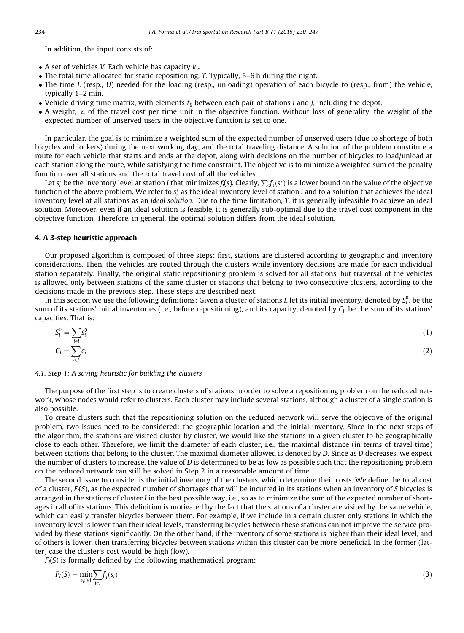<span id="page-4-0"></span>In addition, the input consists of:

- A set of vehicles V. Each vehicle has capacity  $k_{\nu}$ .
- The total time allocated for static repositioning, T. Typically, 5–6 h during the night.
- $\bullet$  The time L (resp., U) needed for the loading (resp., unloading) operation of each bicycle to (resp., from) the vehicle, typically 1–2 min.
- $\bullet$  Vehicle driving time matrix, with elements  $t_{ij}$  between each pair of stations i and j, including the depot.
- A weight,  $\alpha$ , of the travel cost per time unit in the objective function. Without loss of generality, the weight of the expected number of unserved users in the objective function is set to one.

In particular, the goal is to minimize a weighted sum of the expected number of unserved users (due to shortage of both bicycles and lockers) during the next working day, and the total traveling distance. A solution of the problem constitute a route for each vehicle that starts and ends at the depot, along with decisions on the number of bicycles to load/unload at each station along the route, while satisfying the time constraint. The objective is to minimize a weighted sum of the penalty function over all stations and the total travel cost of all the vehicles.

Let  $s_i^*$  be the inventory level at station  $i$  that minimizes  $f_i(s)$ . Clearly,  $\sum f_i(s_i^*)$  is a lower bound on the value of the objective function of the above problem. We refer to  $s_i^\ast$  as the ideal inventory level of station  $i$  and to a solution that achieves the ideal inventory level at all stations as an *ideal solution*. Due to the time limitation,  $T$ , it is generally infeasible to achieve an ideal solution. Moreover, even if an ideal solution is feasible, it is generally sub-optimal due to the travel cost component in the objective function. Therefore, in general, the optimal solution differs from the ideal solution.

# 4. A 3-step heuristic approach

Our proposed algorithm is composed of three steps: first, stations are clustered according to geographic and inventory considerations. Then, the vehicles are routed through the clusters while inventory decisions are made for each individual station separately. Finally, the original static repositioning problem is solved for all stations, but traversal of the vehicles is allowed only between stations of the same cluster or stations that belong to two consecutive clusters, according to the decisions made in the previous step. These steps are described next.

In this section we use the following definitions: Given a cluster of stations I, let its initial inventory, denoted by  $S^0_l$ , be the sum of its stations' initial inventories (i.e., before repositioning), and its capacity, denoted by  $C<sub>1</sub>$ , be the sum of its stations' capacities. That is:

$$
S_i^0 = \sum_{i \in I} S_i^0
$$
  
\n
$$
C_I = \sum_{i \in I} c_i
$$
\n(1)

#### 4.1. Step 1: A saving heuristic for building the clusters

The purpose of the first step is to create clusters of stations in order to solve a repositioning problem on the reduced network, whose nodes would refer to clusters. Each cluster may include several stations, although a cluster of a single station is also possible.

To create clusters such that the repositioning solution on the reduced network will serve the objective of the original problem, two issues need to be considered: the geographic location and the initial inventory. Since in the next steps of the algorithm, the stations are visited cluster by cluster, we would like the stations in a given cluster to be geographically close to each other. Therefore, we limit the diameter of each cluster, i.e., the maximal distance (in terms of travel time) between stations that belong to the cluster. The maximal diameter allowed is denoted by D. Since as D decreases, we expect the number of clusters to increase, the value of D is determined to be as low as possible such that the repositioning problem on the reduced network can still be solved in Step 2 in a reasonable amount of time.

The second issue to consider is the initial inventory of the clusters, which determine their costs. We define the total cost of a cluster,  $F_1(S)$ , as the expected number of shortages that will be incurred in its stations when an inventory of S bicycles is arranged in the stations of cluster I in the best possible way, i.e., so as to minimize the sum of the expected number of shortages in all of its stations. This definition is motivated by the fact that the stations of a cluster are visited by the same vehicle, which can easily transfer bicycles between them. For example, if we include in a certain cluster only stations in which the inventory level is lower than their ideal levels, transferring bicycles between these stations can not improve the service provided by these stations significantly. On the other hand, if the inventory of some stations is higher than their ideal level, and of others is lower, then transferring bicycles between stations within this cluster can be more beneficial. In the former (latter) case the cluster's cost would be high (low).

 $F_I(S)$  is formally defined by the following mathematical program:

$$
F_I(S) = \min_{s_i: i \in I} \sum_{i \in I} f_i(s_i) \tag{3}
$$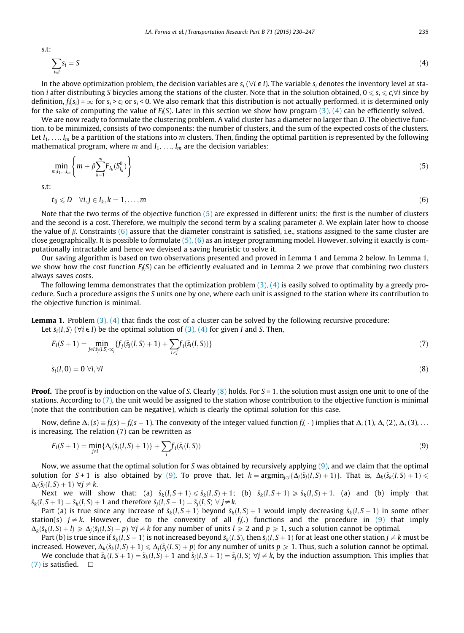<span id="page-5-0"></span>s.t:

$$
\sum_{i \in I} s_i = S \tag{4}
$$

In the above optimization problem, the decision variables are  $s_i$  ( $\forall i \in I$ ). The variable  $s_i$  denotes the inventory level at station *i* after distributing S bicycles among the stations of the cluster. Note that in the solution obtained,  $0 \le s_i \le c_i \forall i$  since by definition,  $f_i(s_i) = \infty$  for  $s_i > c_i$  or  $s_i < 0$ . We also remark that this distribution is not actually performed, it is determined only for the sake of computing the value of  $F_1(S)$ . Later in this section we show how program [\(3\), \(4\)](#page-4-0) can be efficiently solved.

We are now ready to formulate the clustering problem. A valid cluster has a diameter no larger than D. The objective function, to be minimized, consists of two components: the number of clusters, and the sum of the expected costs of the clusters. Let  $I_1, \ldots, I_m$  be a partition of the stations into m clusters. Then, finding the optimal partition is represented by the following mathematical program, where m and  $I_1, \ldots, I_m$  are the decision variables:

$$
\min_{m; l_1, \dots, l_m} \left\{ m + \beta \sum_{k=1}^m F_{l_k}(S_{l_k}^0) \right\} \tag{5}
$$

s.t:

$$
t_{ij} \leq D \quad \forall i,j \in I_k, k = 1,\ldots,m
$$
\n<sup>(6)</sup>

Note that the two terms of the objective function  $(5)$  are expressed in different units: the first is the number of clusters and the second is a cost. Therefore, we multiply the second term by a scaling parameter  $\beta$ . We explain later how to choose the value of  $\beta$ . Constraints (6) assure that the diameter constraint is satisfied, i.e., stations assigned to the same cluster are close geographically. It is possible to formulate  $(5)$ ,  $(6)$  as an integer programming model. However, solving it exactly is computationally intractable and hence we devised a saving heuristic to solve it.

Our saving algorithm is based on two observations presented and proved in Lemma 1 and Lemma 2 below. In Lemma 1, we show how the cost function  $F_I(S)$  can be efficiently evaluated and in Lemma 2 we prove that combining two clusters always saves costs.

The following lemma demonstrates that the optimization problem  $(3)$ ,  $(4)$  is easily solved to optimality by a greedy procedure. Such a procedure assigns the S units one by one, where each unit is assigned to the station where its contribution to the objective function is minimal.

Lemma 1. Problem [\(3\), \(4\)](#page-4-0) that finds the cost of a cluster can be solved by the following recursive procedure: Let  $\tilde{s}_i(I, S)$  ( $\forall i \in I$ ) be the optimal solution of [\(3\), \(4\)](#page-4-0) for given I and S. Then,

$$
F_I(S+1) = \min_{j \in I: \tilde{s}_j(I,S) < c_j} \{ f_j(\tilde{s}_j(I,S) + 1) + \sum_{i \neq j} f_i(\tilde{s}_i(I,S)) \} \tag{7}
$$

$$
\tilde{s}_i(I,0) = 0 \,\forall i, \forall I
$$
\n<sup>(8)</sup>

**Proof.** The proof is by induction on the value of S. Clearly  $(8)$  holds. For  $S = 1$ , the solution must assign one unit to one of the stations. According to  $(7)$ , the unit would be assigned to the station whose contribution to the objective function is minimal (note that the contribution can be negative), which is clearly the optimal solution for this case.

Now, define  $\Delta_i$  (s) =  $f_i$ (s) –  $f_i$ (s – 1). The convexity of the integer valued function  $f_i(\cdot)$  implies that  $\Delta_i$  (1),  $\Delta_i$  (2),  $\Delta_i$  (3), ... is increasing. The relation (7) can be rewritten as

$$
F_I(S+1) = \min_{j \in I} \{ \Delta_j(\tilde{s}_j(I, S) + 1) \} + \sum_i f_i(\tilde{s}_i(I, S))
$$
\n(9)

Now, we assume that the optimal solution for S was obtained by recursively applying  $(9)$ , and we claim that the optimal solution for S + 1 is also obtained by (9). To prove that, let  $k = \text{argmin}_{i \in I} \{\Delta_i(\tilde{s}_i(I, S) + 1)\}\$ . That is,  $\Delta_k(\tilde{s}_k(I, S) + 1) \leq$  $\Delta_i(\tilde{s}_i(I, S) + 1) \ \forall j \neq k$ .

Next we will show that: (a)  $\tilde{s}_k(I, S + 1) \leq \tilde{s}_k(I, S) + 1$ ; (b)  $\tilde{s}_k(I, S + 1) \geq \tilde{s}_k(I, S) + 1$ . (a) and (b) imply that  $\tilde{s}_k(I, S+1) = \tilde{s}_k(I, S) + 1$  and therefore  $\tilde{s}_i(I, S+1) = \tilde{s}_i(I, S) \ \forall j \neq k$ .

Part (a) is true since any increase of  $\tilde{s}_k(I, S + 1)$  beyond  $\tilde{s}_k(I, S) + 1$  would imply decreasing  $\tilde{s}_k(I, S + 1)$  in some other station(s)  $j \neq k$ . However, due to the convexity of all  $f_j(.)$  functions and the procedure in (9) that imply  $\Delta_k(\tilde{s}_k(I, S) + I) \geq \Delta_i(\tilde{s}_i(I, S) - p) \,\,\forall j \neq k$  for any number of units  $l \geq 2$  and  $p \geq 1$ , such a solution cannot be optimal.

Part (b) is true since if  $\tilde{s}_k(I, S + 1)$  is not increased beyond  $\tilde{s}_k(I, S)$ , then  $\tilde{s}_j(I, S + 1)$  for at least one other station  $j \neq k$  must be increased. However,  $\Delta_k(\tilde{s}_k(I, S) + 1) \leq \Delta_i(\tilde{s}_i(I, S) + p)$  for any number of units  $p \geq 1$ . Thus, such a solution cannot be optimal.

We conclude that  $\tilde{s}_k(I, S + 1) = \tilde{s}_k(I, S) + 1$  and  $\tilde{s}_j(I, S + 1) = \tilde{s}_j(I, S) \forall j \neq k$ , by the induction assumption. This implies that  $(7)$  is satisfied.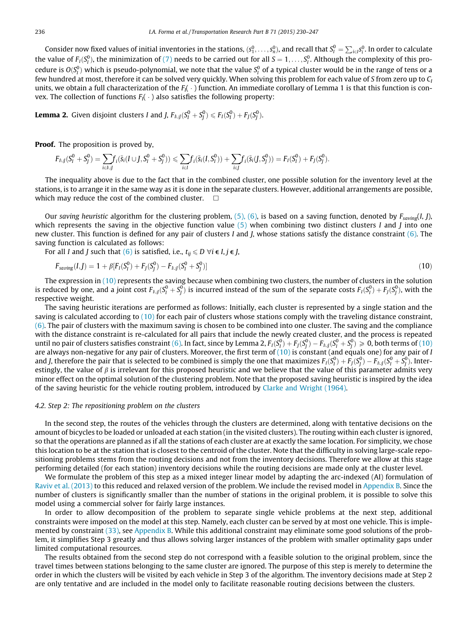Consider now fixed values of initial inventories in the stations,  $(s_1^0,\ldots,s_n^0)$ , and recall that  $S_l^0=\sum_{i\in I} s_i^0.$  In order to calculate the value of  $F_I(S^0_I)$ , the minimization of [\(7\)](#page-5-0) needs to be carried out for all  $S=1,\ldots,S^0_I$ . Although the complexity of this procedure is  $O(S^0_I)$  which is pseudo-polynomial, we note that the value  $S^0_I$  of a typical cluster would be in the range of tens or a few hundred at most, therefore it can be solved very quickly. When solving this problem for each value of S from zero up to  $C_1$ units, we obtain a full characterization of the  $F_1(\cdot)$  function. An immediate corollary of Lemma 1 is that this function is convex. The collection of functions  $F_I(\cdot)$  also satisfies the following property:

**Lemma 2.** Given disjoint clusters I and J,  $F_{I\cup J}(S^0_I+S^0_J)\leqslant F_I(S^0_I)+F_J(S^0_J).$ 

**Proof.** The proposition is proved by,

$$
F_{I \cup J}(S^0_I+S^0_J) = \sum_{i \in I \cup J} \hspace{-0.3cm} f_i(\tilde{s}_i(I \cup J, S^0_I+S^0_J)) \leqslant \sum_{i \in J} \hspace{-0.3cm} f_i(\tilde{s}_i(I, S^0_I)) + \sum_{i \in J} \hspace{-0.3cm} f_i(\tilde{s}_i(J, S^0_J)) = F_I(S^0_I) + F_J(S^0_J).
$$

The inequality above is due to the fact that in the combined cluster, one possible solution for the inventory level at the stations, is to arrange it in the same way as it is done in the separate clusters. However, additional arrangements are possible, which may reduce the cost of the combined cluster.  $\Box$ 

Our saving heuristic algorithm for the clustering problem,  $(5)$ ,  $(6)$ , is based on a saving function, denoted by  $F_{saving}(I, J)$ , which represents the saving in the objective function value  $(5)$  when combining two distinct clusters I and I into one new cluster. This function is defined for any pair of clusters I and I, whose stations satisfy the distance constraint  $(6)$ . The saving function is calculated as follows:

For all *I* and *J* such that [\(6\)](#page-5-0) is satisfied, i.e.,  $t_{ij} \le D \ \forall i \in I, j \in J$ ,

$$
F_{saving}(I,J) = 1 + \beta [F_I(S_I^0) + F_J(S_J^0) - F_{I \cup J}(S_I^0 + S_J^0)] \tag{10}
$$

The expression in (10) represents the saving because when combining two clusters, the number of clusters in the solution is reduced by one, and a joint cost  $F_{I\cup J}(S^0_I+S^0_J)$  is incurred instead of the sum of the separate costs  $F_I(S^0_I)+F_J(S^0_J),$  with the respective weight.

The saving heuristic iterations are performed as follows: Initially, each cluster is represented by a single station and the saving is calculated according to  $(10)$  for each pair of clusters whose stations comply with the traveling distance constraint, [\(6\).](#page-5-0) The pair of clusters with the maximum saving is chosen to be combined into one cluster. The saving and the compliance with the distance constraint is re-calculated for all pairs that include the newly created cluster, and the process is repeated until no pair of clusters satisfies constraint [\(6\).](#page-5-0) In fact, since by Lemma 2,  $F_I(S^0_I)+F_J(S^0_J)-F_{I\cup J}(S^0_I+S^0_J)\geqslant 0,$  both terms of (10) are always non-negative for any pair of clusters. Moreover, the first term of  $(10)$  is constant (and equals one) for any pair of I and J, therefore the pair that is selected to be combined is simply the one that maximizes  $F_I(S^0_I) + F_J(S^0_J) - F_{I\cup J}(S^0_I+S^0_J)$ . Interestingly, the value of  $\beta$  is irrelevant for this proposed heuristic and we believe that the value of this parameter admits very minor effect on the optimal solution of the clustering problem. Note that the proposed saving heuristic is inspired by the idea of the saving heuristic for the vehicle routing problem, introduced by [Clarke and Wright \(1964\)](#page-16-0).

#### 4.2. Step 2: The repositioning problem on the clusters

In the second step, the routes of the vehicles through the clusters are determined, along with tentative decisions on the amount of bicycles to be loaded or unloaded at each station (in the visited clusters). The routing within each cluster is ignored, so that the operations are planned as if all the stations of each cluster are at exactly the same location. For simplicity, we chose this location to be at the station that is closest to the centroid of the cluster. Note that the difficulty in solving large-scale repositioning problems stems from the routing decisions and not from the inventory decisions. Therefore we allow at this stage performing detailed (for each station) inventory decisions while the routing decisions are made only at the cluster level.

We formulate the problem of this step as a mixed integer linear model by adapting the arc-indexed (AI) formulation of [Raviv et al. \(2013\)](#page-16-0) to this reduced and relaxed version of the problem. We include the revised model in [Appendix B](#page-13-0). Since the number of clusters is significantly smaller than the number of stations in the original problem, it is possible to solve this model using a commercial solver for fairly large instances.

In order to allow decomposition of the problem to separate single vehicle problems at the next step, additional constraints were imposed on the model at this step. Namely, each cluster can be served by at most one vehicle. This is implemented by constraint [\(33\),](#page-14-0) see [Appendix B](#page-13-0). While this additional constraint may eliminate some good solutions of the problem, it simplifies Step 3 greatly and thus allows solving larger instances of the problem with smaller optimality gaps under limited computational resources.

The results obtained from the second step do not correspond with a feasible solution to the original problem, since the travel times between stations belonging to the same cluster are ignored. The purpose of this step is merely to determine the order in which the clusters will be visited by each vehicle in Step 3 of the algorithm. The inventory decisions made at Step 2 are only tentative and are included in the model only to facilitate reasonable routing decisions between the clusters.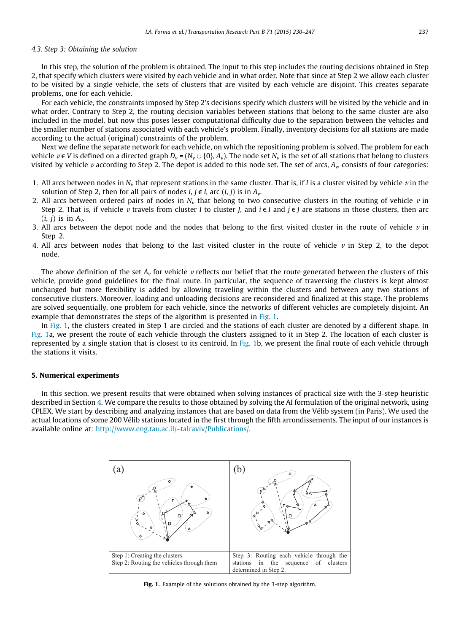# <span id="page-7-0"></span>4.3. Step 3: Obtaining the solution

In this step, the solution of the problem is obtained. The input to this step includes the routing decisions obtained in Step 2, that specify which clusters were visited by each vehicle and in what order. Note that since at Step 2 we allow each cluster to be visited by a single vehicle, the sets of clusters that are visited by each vehicle are disjoint. This creates separate problems, one for each vehicle.

For each vehicle, the constraints imposed by Step 2's decisions specify which clusters will be visited by the vehicle and in what order. Contrary to Step 2, the routing decision variables between stations that belong to the same cluster are also included in the model, but now this poses lesser computational difficulty due to the separation between the vehicles and the smaller number of stations associated with each vehicle's problem. Finally, inventory decisions for all stations are made according to the actual (original) constraints of the problem.

Next we define the separate network for each vehicle, on which the repositioning problem is solved. The problem for each vehicle  $v \in V$  is defined on a directed graph  $D_v = (N_v \cup \{0\}, A_v)$ . The node set  $N_v$  is the set of all stations that belong to clusters visited by vehicle v according to Step 2. The depot is added to this node set. The set of arcs,  $A_{\nu}$ , consists of four categories:

- 1. All arcs between nodes in  $N_v$  that represent stations in the same cluster. That is, if I is a cluster visited by vehicle  $v$  in the solution of Step 2, then for all pairs of nodes *i*,  $j \in I$ , arc  $(i, j)$  is in  $A_{\nu}$ .
- 2. All arcs between ordered pairs of nodes in  $N_v$  that belong to two consecutive clusters in the routing of vehicle  $v$  in Step 2. That is, if vehicle v travels from cluster I to cluster I, and  $i \in I$  and  $j \in I$  are stations in those clusters, then arc  $(i, j)$  is in  $A_v$ .
- 3. All arcs between the depot node and the nodes that belong to the first visited cluster in the route of vehicle  $\nu$  in Step 2.
- 4. All arcs between nodes that belong to the last visited cluster in the route of vehicle  $\nu$  in Step 2, to the depot node.

The above definition of the set  $A_v$  for vehicle v reflects our belief that the route generated between the clusters of this vehicle, provide good guidelines for the final route. In particular, the sequence of traversing the clusters is kept almost unchanged but more flexibility is added by allowing traveling within the clusters and between any two stations of consecutive clusters. Moreover, loading and unloading decisions are reconsidered and finalized at this stage. The problems are solved sequentially, one problem for each vehicle, since the networks of different vehicles are completely disjoint. An example that demonstrates the steps of the algorithm is presented in Fig. 1.

In Fig. 1, the clusters created in Step 1 are circled and the stations of each cluster are denoted by a different shape. In Fig. 1a, we present the route of each vehicle through the clusters assigned to it in Step 2. The location of each cluster is represented by a single station that is closest to its centroid. In Fig. 1b, we present the final route of each vehicle through the stations it visits.

#### 5. Numerical experiments

In this section, we present results that were obtained when solving instances of practical size with the 3-step heuristic described in Section [4.](#page-4-0) We compare the results to those obtained by solving the AI formulation of the original network, using CPLEX. We start by describing and analyzing instances that are based on data from the Vélib system (in Paris). We used the actual locations of some 200 Vélib stations located in the first through the fifth arrondissements. The input of our instances is available online at: <http://www.eng.tau.ac.il/~talraviv/Publications/>.



Fig. 1. Example of the solutions obtained by the 3-step algorithm.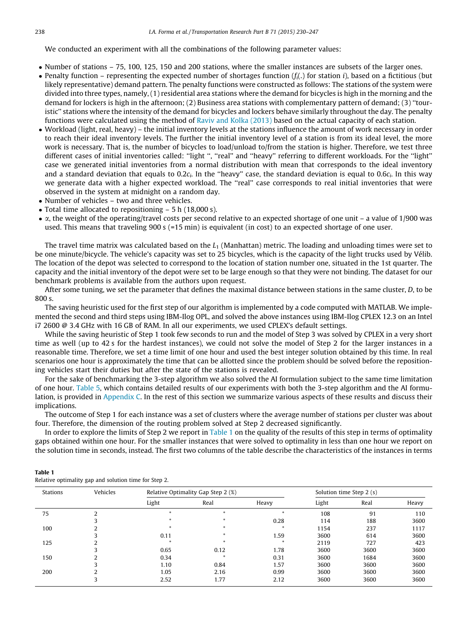<span id="page-8-0"></span>We conducted an experiment with all the combinations of the following parameter values:

- Number of stations 75, 100, 125, 150 and 200 stations, where the smaller instances are subsets of the larger ones.
- Penalty function representing the expected number of shortages function ( $f_i(.)$  for station i), based on a fictitious (but likely representative) demand pattern. The penalty functions were constructed as follows: The stations of the system were divided into three types, namely, (1) residential area stations where the demand for bicycles is high in the morning and the demand for lockers is high in the afternoon; (2) Business area stations with complementary pattern of demand; (3) ''touristic'' stations where the intensity of the demand for bicycles and lockers behave similarly throughout the day. The penalty functions were calculated using the method of [Raviv and Kolka \(2013\)](#page-16-0) based on the actual capacity of each station.
- Workload (light, real, heavy) the initial inventory levels at the stations influence the amount of work necessary in order to reach their ideal inventory levels. The further the initial inventory level of a station is from its ideal level, the more work is necessary. That is, the number of bicycles to load/unload to/from the station is higher. Therefore, we test three different cases of initial inventories called: ''light '', ''real'' and ''heavy'' referring to different workloads. For the ''light'' case we generated initial inventories from a normal distribution with mean that corresponds to the ideal inventory and a standard deviation that equals to 0.2 $c_i$ . In the "heavy" case, the standard deviation is equal to 0.6 $c_i$ . In this way we generate data with a higher expected workload. The ''real'' case corresponds to real initial inventories that were observed in the system at midnight on a random day.
- Number of vehicles two and three vehicles.
- Total time allocated to repositioning 5 h (18,000 s).
- $\alpha$ , the weight of the operating/travel costs per second relative to an expected shortage of one unit a value of 1/900 was used. This means that traveling 900 s (=15 min) is equivalent (in cost) to an expected shortage of one user.

The travel time matrix was calculated based on the  $L_1$  (Manhattan) metric. The loading and unloading times were set to be one minute/bicycle. The vehicle's capacity was set to 25 bicycles, which is the capacity of the light trucks used by Vélib. The location of the depot was selected to correspond to the location of station number one, situated in the 1st quarter. The capacity and the initial inventory of the depot were set to be large enough so that they were not binding. The dataset for our benchmark problems is available from the authors upon request.

After some tuning, we set the parameter that defines the maximal distance between stations in the same cluster, D, to be 800 s.

The saving heuristic used for the first step of our algorithm is implemented by a code computed with MATLAB. We implemented the second and third steps using IBM-Ilog OPL, and solved the above instances using IBM-Ilog CPLEX 12.3 on an Intel i7 2600 @ 3.4 GHz with 16 GB of RAM. In all our experiments, we used CPLEX's default settings.

While the saving heuristic of Step 1 took few seconds to run and the model of Step 3 was solved by CPLEX in a very short time as well (up to 42 s for the hardest instances), we could not solve the model of Step 2 for the larger instances in a reasonable time. Therefore, we set a time limit of one hour and used the best integer solution obtained by this time. In real scenarios one hour is approximately the time that can be allotted since the problem should be solved before the repositioning vehicles start their duties but after the state of the stations is revealed.

For the sake of benchmarking the 3-step algorithm we also solved the AI formulation subject to the same time limitation of one hour. [Table 5](#page-15-0), which contains detailed results of our experiments with both the 3-step algorithm and the AI formulation, is provided in [Appendix C.](#page-15-0) In the rest of this section we summarize various aspects of these results and discuss their implications.

The outcome of Step 1 for each instance was a set of clusters where the average number of stations per cluster was about four. Therefore, the dimension of the routing problem solved at Step 2 decreased significantly.

In order to explore the limits of Step 2 we report in Table 1 on the quality of the results of this step in terms of optimality gaps obtained within one hour. For the smaller instances that were solved to optimality in less than one hour we report on the solution time in seconds, instead. The first two columns of the table describe the characteristics of the instances in terms

| Stations | Vehicles |         | Relative Optimality Gap Step 2 (%) | Solution time Step 2 (s) |       |      |       |
|----------|----------|---------|------------------------------------|--------------------------|-------|------|-------|
|          |          | Light   | Real                               | Heavy                    | Light | Real | Heavy |
| 75       |          | $\star$ | $\star$                            |                          | 108   | 91   | 110   |
|          |          | $\star$ | $\star$                            | 0.28                     | 114   | 188  | 3600  |
| 100      |          | $\ast$  |                                    | $\ast$                   | 1154  | 237  | 1117  |
|          |          | 0.11    |                                    | 1.59                     | 3600  | 614  | 3600  |
| 125      |          |         |                                    |                          | 2119  | 727  | 423   |
|          |          | 0.65    | 0.12                               | 1.78                     | 3600  | 3600 | 3600  |
| 150      |          | 0.34    |                                    | 0.31                     | 3600  | 1684 | 3600  |
|          |          | 1.10    | 0.84                               | 1.57                     | 3600  | 3600 | 3600  |
| 200      |          | 1.05    | 2.16                               | 0.99                     | 3600  | 3600 | 3600  |
|          |          | 2.52    | 1.77                               | 2.12                     | 3600  | 3600 | 3600  |

# Table 1 Relative optimality gap and solution time for Step 2.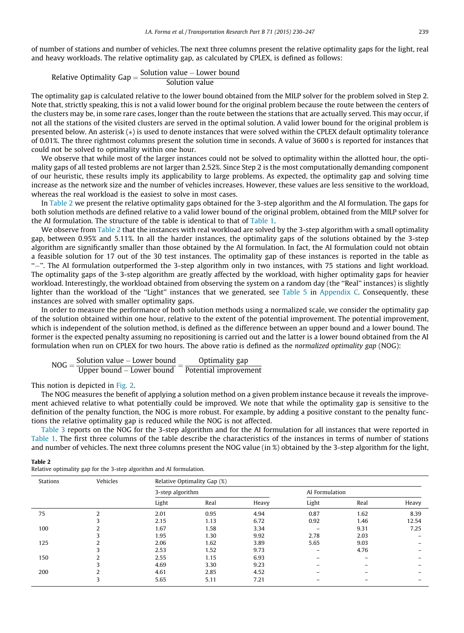of number of stations and number of vehicles. The next three columns present the relative optimality gaps for the light, real and heavy workloads. The relative optimality gap, as calculated by CPLEX, is defined as follows:

Relative Optimality 
$$
Gap = \frac{Solution \ value - Lower \ bound}{Solution \ value}
$$

The optimality gap is calculated relative to the lower bound obtained from the MILP solver for the problem solved in Step 2. Note that, strictly speaking, this is not a valid lower bound for the original problem because the route between the centers of the clusters may be, in some rare cases, longer than the route between the stations that are actually served. This may occur, if not all the stations of the visited clusters are served in the optimal solution. A valid lower bound for the original problem is presented below. An asterisk  $(*)$  is used to denote instances that were solved within the CPLEX default optimality tolerance of 0.01%. The three rightmost columns present the solution time in seconds. A value of 3600 s is reported for instances that could not be solved to optimality within one hour.

We observe that while most of the larger instances could not be solved to optimality within the allotted hour, the optimality gaps of all tested problems are not larger than 2.52%. Since Step 2 is the most computationally demanding component of our heuristic, these results imply its applicability to large problems. As expected, the optimality gap and solving time increase as the network size and the number of vehicles increases. However, these values are less sensitive to the workload, whereas the real workload is the easiest to solve in most cases.

In Table 2 we present the relative optimality gaps obtained for the 3-step algorithm and the AI formulation. The gaps for both solution methods are defined relative to a valid lower bound of the original problem, obtained from the MILP solver for the AI formulation. The structure of the table is identical to that of [Table 1.](#page-8-0)

We observe from Table 2 that the instances with real workload are solved by the 3-step algorithm with a small optimality gap, between 0.95% and 5.11%. In all the harder instances, the optimality gaps of the solutions obtained by the 3-step algorithm are significantly smaller than those obtained by the AI formulation. In fact, the AI formulation could not obtain a feasible solution for 17 out of the 30 test instances. The optimality gap of these instances is reported in the table as ''''. The AI formulation outperformed the 3-step algorithm only in two instances, with 75 stations and light workload. The optimality gaps of the 3-step algorithm are greatly affected by the workload, with higher optimality gaps for heavier workload. Interestingly, the workload obtained from observing the system on a random day (the "Real" instances) is slightly lighter than the workload of the "Light" instances that we generated, see [Table 5](#page-15-0) in [Appendix C](#page-15-0). Consequently, these instances are solved with smaller optimality gaps.

In order to measure the performance of both solution methods using a normalized scale, we consider the optimality gap of the solution obtained within one hour, relative to the extent of the potential improvement. The potential improvement, which is independent of the solution method, is defined as the difference between an upper bound and a lower bound. The former is the expected penalty assuming no repositioning is carried out and the latter is a lower bound obtained from the AI formulation when run on CPLEX for two hours. The above ratio is defined as the normalized optimality gap (NOG):

$$
NOG = \frac{Solution value - Lower bound}{Upper bound - Lower bound} = \frac{Optimality gap}{Potential improvement}
$$

This notion is depicted in [Fig. 2.](#page-10-0)

The NOG measures the benefit of applying a solution method on a given problem instance because it reveals the improvement achieved relative to what potentially could be improved. We note that while the optimality gap is sensitive to the definition of the penalty function, the NOG is more robust. For example, by adding a positive constant to the penalty functions the relative optimality gap is reduced while the NOG is not affected.

[Table 3](#page-10-0) reports on the NOG for the 3-step algorithm and for the AI formulation for all instances that were reported in [Table 1](#page-8-0). The first three columns of the table describe the characteristics of the instances in terms of number of stations and number of vehicles. The next three columns present the NOG value (in %) obtained by the 3-step algorithm for the light,

#### Table 2

| Relative optimality gap for the 3-step algorithm and AI formulation. |  |  |  |  |
|----------------------------------------------------------------------|--|--|--|--|
|----------------------------------------------------------------------|--|--|--|--|

| <b>Stations</b> | Vehicles |                  | Relative Optimality Gap (%) |       |                |                          |       |  |  |  |  |
|-----------------|----------|------------------|-----------------------------|-------|----------------|--------------------------|-------|--|--|--|--|
|                 |          | 3-step algorithm |                             |       | AI Formulation |                          |       |  |  |  |  |
|                 |          | Light            | Real                        | Heavy | Light          | Real                     | Heavy |  |  |  |  |
| 75              |          | 2.01             | 0.95                        | 4.94  | 0.87           | 1.62                     | 8.39  |  |  |  |  |
|                 |          | 2.15             | 1.13                        | 6.72  | 0.92           | 1.46                     | 12.54 |  |  |  |  |
| 100             |          | 1.67             | 1.58                        | 3.34  |                | 9.31                     | 7.25  |  |  |  |  |
|                 |          | 1.95             | 1.30                        | 9.92  | 2.78           | 2.03                     |       |  |  |  |  |
| 125             |          | 2.06             | 1.62                        | 3.89  | 5.65           | 9.03                     |       |  |  |  |  |
|                 |          | 2.53             | 1.52                        | 9.73  |                | 4.76                     |       |  |  |  |  |
| 150             |          | 2.55             | 1.15                        | 6.93  | -              | $\overline{\phantom{0}}$ |       |  |  |  |  |
|                 | ∽        | 4.69             | 3.30                        | 9.23  |                |                          |       |  |  |  |  |
| 200             |          | 4.61             | 2.85                        | 4.52  |                |                          |       |  |  |  |  |
|                 | 3        | 5.65             | 5.11                        | 7.21  |                |                          |       |  |  |  |  |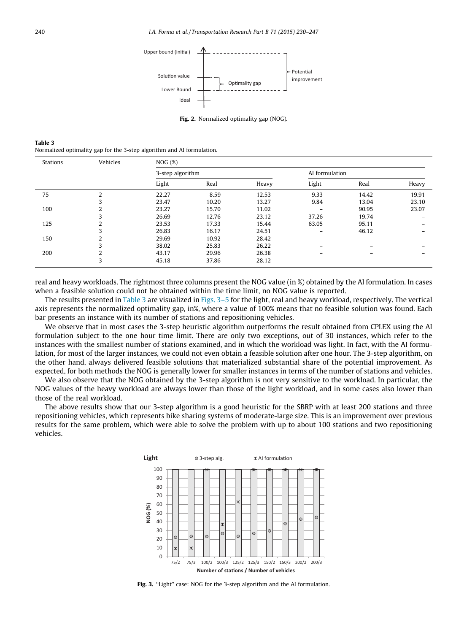

Fig. 2. Normalized optimality gap (NOG).

<span id="page-10-0"></span>Table 3 Normalized optimality gap for the 3-step algorithm and AI formulation.

| <b>Stations</b> | Vehicles | NOG(%)           |       |       |                |       |                          |  |  |  |
|-----------------|----------|------------------|-------|-------|----------------|-------|--------------------------|--|--|--|
|                 |          | 3-step algorithm |       |       | AI formulation |       |                          |  |  |  |
|                 |          | Light            | Real  | Heavy | Light          | Real  | Heavy                    |  |  |  |
| 75              | C.       | 22.27            | 8.59  | 12.53 | 9.33           | 14.42 | 19.91                    |  |  |  |
|                 |          | 23.47            | 10.20 | 13.27 | 9.84           | 13.04 | 23.10                    |  |  |  |
| 100             |          | 23.27            | 15.70 | 11.02 |                | 90.95 | 23.07                    |  |  |  |
|                 |          | 26.69            | 12.76 | 23.12 | 37.26          | 19.74 | $-$                      |  |  |  |
| 125             |          | 23.53            | 17.33 | 15.44 | 63.05          | 95.11 | $-$                      |  |  |  |
|                 |          | 26.83            | 16.17 | 24.51 |                | 46.12 |                          |  |  |  |
| 150             |          | 29.69            | 10.92 | 28.42 | -              | -     | $\overline{\phantom{0}}$ |  |  |  |
|                 |          | 38.02            | 25.83 | 26.22 | -              | -     | $\overline{\phantom{0}}$ |  |  |  |
| 200             |          | 43.17            | 29.96 | 26.38 | -              | -     | $\overline{\phantom{0}}$ |  |  |  |
|                 | 3        | 45.18            | 37.86 | 28.12 | -              | -     | $\overline{\phantom{0}}$ |  |  |  |

real and heavy workloads. The rightmost three columns present the NOG value (in %) obtained by the AI formulation. In cases when a feasible solution could not be obtained within the time limit, no NOG value is reported.

The results presented in Table 3 are visualized in Figs. 3–5 for the light, real and heavy workload, respectively. The vertical axis represents the normalized optimality gap, in%, where a value of 100% means that no feasible solution was found. Each bar presents an instance with its number of stations and repositioning vehicles.

We observe that in most cases the 3-step heuristic algorithm outperforms the result obtained from CPLEX using the AI formulation subject to the one hour time limit. There are only two exceptions, out of 30 instances, which refer to the instances with the smallest number of stations examined, and in which the workload was light. In fact, with the AI formulation, for most of the larger instances, we could not even obtain a feasible solution after one hour. The 3-step algorithm, on the other hand, always delivered feasible solutions that materialized substantial share of the potential improvement. As expected, for both methods the NOG is generally lower for smaller instances in terms of the number of stations and vehicles.

We also observe that the NOG obtained by the 3-step algorithm is not very sensitive to the workload. In particular, the NOG values of the heavy workload are always lower than those of the light workload, and in some cases also lower than those of the real workload.

The above results show that our 3-step algorithm is a good heuristic for the SBRP with at least 200 stations and three repositioning vehicles, which represents bike sharing systems of moderate-large size. This is an improvement over previous results for the same problem, which were able to solve the problem with up to about 100 stations and two repositioning vehicles.



Fig. 3. "Light" case: NOG for the 3-step algorithm and the AI formulation.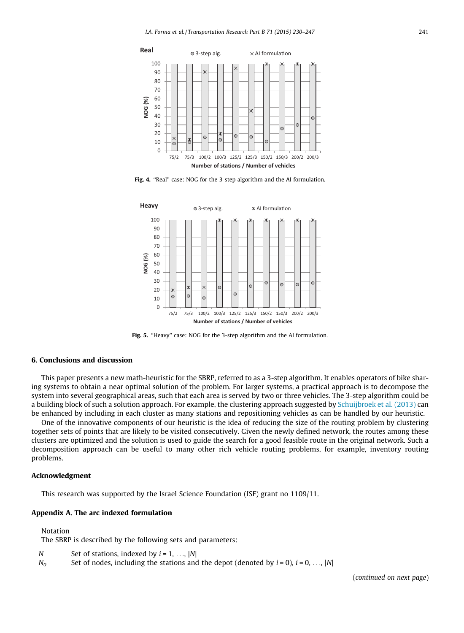<span id="page-11-0"></span>

Fig. 4. "Real" case: NOG for the 3-step algorithm and the AI formulation.



Fig. 5. "Heavy" case: NOG for the 3-step algorithm and the AI formulation.

#### 6. Conclusions and discussion

This paper presents a new math-heuristic for the SBRP, referred to as a 3-step algorithm. It enables operators of bike sharing systems to obtain a near optimal solution of the problem. For larger systems, a practical approach is to decompose the system into several geographical areas, such that each area is served by two or three vehicles. The 3-step algorithm could be a building block of such a solution approach. For example, the clustering approach suggested by [Schuijbroek et al. \(2013\)](#page-16-0) can be enhanced by including in each cluster as many stations and repositioning vehicles as can be handled by our heuristic.

One of the innovative components of our heuristic is the idea of reducing the size of the routing problem by clustering together sets of points that are likely to be visited consecutively. Given the newly defined network, the routes among these clusters are optimized and the solution is used to guide the search for a good feasible route in the original network. Such a decomposition approach can be useful to many other rich vehicle routing problems, for example, inventory routing problems.

#### Acknowledgment

This research was supported by the Israel Science Foundation (ISF) grant no 1109/11.

# Appendix A. The arc indexed formulation

Notation

The SBRP is described by the following sets and parameters:

- $N$  Set of stations, indexed by  $i = 1, \ldots, |N|$
- $N_0$  Set of nodes, including the stations and the depot (denoted by  $i = 0, i = 0, \ldots, |N|$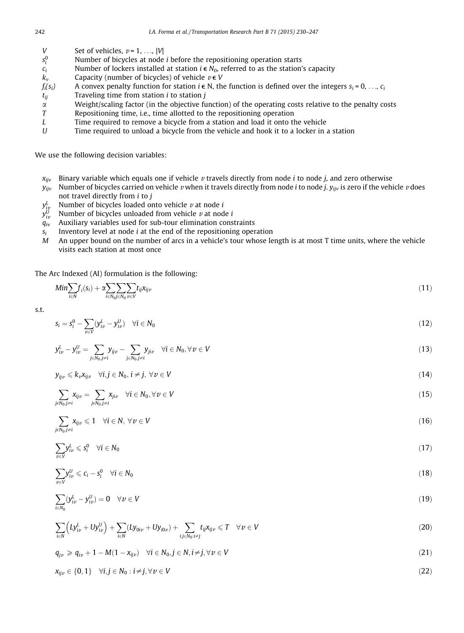- <span id="page-12-0"></span>V Set of vehicles,  $v = 1, \ldots, |V|$
- $S_i^0$  $s_i^0$  Number of bicycles at node *i* before the repositioning operation starts  $c_i$  Number of lockers installed at station  $i \in N_0$ , referred to as the station'
- $\vec{c}_i$  Number of lockers installed at station  $i \in N_0$ , referred to as the station's capacity Capacity (number of bicycles) of vehicle  $v \in V$
- 
- $k_v$  Capacity (number of bicycles) of vehicle  $v \in V$ <br> $f_i(s_i)$  A convex penalty function for station  $i \in N$ , th A convex penalty function for station  $i \in N$ , the function is defined over the integers  $s_i = 0, \ldots, c_i$
- $t_{ij}$  Traveling time from station *i* to station *j*
- $\alpha$  Weight/scaling factor (in the objective function) of the operating costs relative to the penalty costs <br>
Repositioning time, i.e., time allotted to the repositioning operation
- Repositioning time, i.e., time allotted to the repositioning operation
- L Time required to remove a bicycle from a station and load it onto the vehicle
- U Time required to unload a bicycle from the vehicle and hook it to a locker in a station

We use the following decision variables:

- $x_{ijy}$  Binary variable which equals one if vehicle v travels directly from node i to node j, and zero otherwise
- $y_{ijv}$  Number of bicycles carried on vehicle v when it travels directly from node *i* to node *j*.  $y_{ijv}$  is zero if the vehicle v does not travel directly from i to j
- 
- $y_{i\nu}^L$  Number of bicycles loaded onto vehicle  $\nu$  at node *i* Number of bicycles unloaded from vehicle  $\nu$  at node *i*
- $q_{iv}$  Auxiliary variables used for sub-tour elimination constraints
- $s_i$  Inventory level at node *i* at the end of the repositioning operation
- $M$  An upper bound on the number of arcs in a vehicle's tour whose length is at most T time units, where the vehicle visits each station at most once

The Arc Indexed (AI) formulation is the following:

$$
Min \sum_{i \in N} f_i(s_i) + \alpha \sum_{i \in N_0} \sum_{j \in N_0} \sum_{v \in V} t_{ij} x_{ij} \tag{11}
$$

s.t.

$$
s_i = s_i^0 - \sum_{v \in V} (y_{iv}^L - y_{iv}^U) \quad \forall i \in N_0
$$
\n(12)

$$
y_{iv}^l - y_{iv}^l = \sum_{j \in N_0, j \neq i} y_{ijv} - \sum_{j \in N_0, j \neq i} y_{jiv} \quad \forall i \in N_0, \forall v \in V
$$
\n(13)

$$
y_{ij\,\nu} \leq k_{\nu} x_{ij\,\nu} \quad \forall i,j \in N_0, i \neq j, \ \forall \,\nu \in V
$$
\n
$$
(14)
$$

$$
\sum_{j \in N_0, j \neq i} x_{ij\nu} = \sum_{j \in N_0, j \neq i} x_{ji\nu} \quad \forall i \in N_0, \forall \nu \in V
$$
\n(15)

$$
\sum_{j\in N_0, j\neq i} x_{ij\nu} \leq 1 \quad \forall i \in N, \ \forall \nu \in V
$$
\n(16)

$$
\sum_{v \in V} y_{iv}^L \leqslant s_i^0 \quad \forall i \in N_0
$$
\n
$$
(17)
$$

$$
\sum_{v \in V} y_{iv}^U \leqslant c_i - s_i^0 \quad \forall i \in N_0
$$
\n
$$
(18)
$$

$$
\sum_{i\in\mathbb{N}_0}(y_{iv}^L-y_{iv}^U)=0\quad\forall\,v\in V
$$
\n(19)

$$
\sum_{i \in N} \left( L y_{iv}^L + U y_{iv}^U \right) + \sum_{i \in N} (L y_{0iv} + U y_{i0v}) + \sum_{i,j \in N_0 : i \neq j} t_{ij} x_{ijv} \leq T \quad \forall v \in V
$$
\n(20)

$$
q_{j\nu} \geqslant q_{i\nu} + 1 - M(1 - x_{ij\nu}) \quad \forall i \in N_0, j \in N, i \neq j, \forall \nu \in V
$$
\n
$$
(21)
$$

$$
x_{ij\nu} \in \{0,1\} \quad \forall i,j \in N_0 : i \neq j, \forall \nu \in V \tag{22}
$$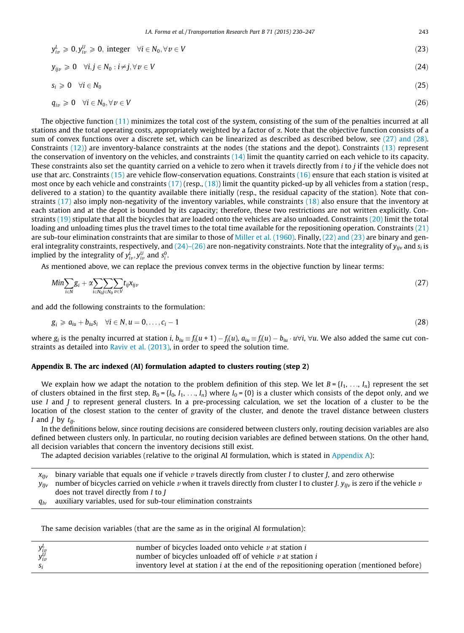<span id="page-13-0"></span>
$$
y_{iv}^l \geqslant 0, y_{iv}^U \geqslant 0, \text{ integer } \forall i \in N_0, \forall v \in V
$$
\n
$$
(23)
$$

$$
y_{ij\nu} \geqslant 0 \quad \forall i,j \in N_0 : i \neq j, \forall \nu \in V
$$
\n
$$
(24)
$$

$$
s_i \geq 0 \quad \forall i \in N_0 \tag{25}
$$

$$
q_{iv} \geqslant 0 \quad \forall i \in N_0, \forall v \in V \tag{26}
$$

The objective function [\(11\)](#page-12-0) minimizes the total cost of the system, consisting of the sum of the penalties incurred at all stations and the total operating costs, appropriately weighted by a factor of  $\alpha$ . Note that the objective function consists of a sum of convex functions over a discrete set, which can be linearized as described as described below, see (27) and (28). Constraints [\(12\)\)](#page-12-0) are inventory-balance constraints at the nodes (the stations and the depot). Constraints [\(13\)](#page-12-0) represent the conservation of inventory on the vehicles, and constraints  $(14)$  limit the quantity carried on each vehicle to its capacity. These constraints also set the quantity carried on a vehicle to zero when it travels directly from i to j if the vehicle does not use that arc. Constraints [\(15\)](#page-12-0) are vehicle flow-conservation equations. Constraints [\(16\)](#page-12-0) ensure that each station is visited at most once by each vehicle and constraints [\(17\)](#page-12-0) (resp., [\(18\)](#page-12-0)) limit the quantity picked-up by all vehicles from a station (resp., delivered to a station) to the quantity available there initially (resp., the residual capacity of the station). Note that constraints [\(17\)](#page-12-0) also imply non-negativity of the inventory variables, while constraints [\(18\)](#page-12-0) also ensure that the inventory at each station and at the depot is bounded by its capacity; therefore, these two restrictions are not written explicitly. Constraints [\(19\)](#page-12-0) stipulate that all the bicycles that are loaded onto the vehicles are also unloaded. Constraints [\(20\)](#page-12-0) limit the total loading and unloading times plus the travel times to the total time available for the repositioning operation. Constraints [\(21\)](#page-12-0) are sub-tour elimination constraints that are similar to those of [Miller et al. \(1960\)](#page-16-0). Finally, [\(22\) and \(23\)](#page-12-0) are binary and general integrality constraints, respectively, and  $(24)$ – $(26)$  are non-negativity constraints. Note that the integrality of  $y_{ij}$  and  $s_i$  is implied by the integrality of  $y_{i\nu}^L, y_{i\nu}^U$  and  $s_i^0$ .

As mentioned above, we can replace the previous convex terms in the objective function by linear terms:

$$
Min \sum_{i \in N} g_i + \alpha \sum_{i \in N_0} \sum_{j \in N_0} \sum_{v \in V} t_{ij} x_{ijv} \tag{27}
$$

and add the following constraints to the formulation:

$$
g_i \geq a_{iu} + b_{iu} s_i \quad \forall i \in N, u = 0, \dots, c_i - 1 \tag{28}
$$

where  $g_i$  is the penalty incurred at station i,  $b_{iu} = f_i(u + 1) - f_i(u)$ ,  $a_{iu} = f_i(u) - b_{iu} \cdot u \forall i$ ,  $\forall u$ . We also added the same cut constraints as detailed into [Raviv et al. \(2013\),](#page-16-0) in order to speed the solution time.

# Appendix B. The arc indexed (AI) formulation adapted to clusters routing (step 2)

We explain how we adapt the notation to the problem definition of this step. We let  $B = \{I_1, \ldots, I_n\}$  represent the set of clusters obtained in the first step,  $B_0 = \{I_0, I_1, \ldots, I_n\}$  where  $I_0 = \{0\}$  is a cluster which consists of the depot only, and we use I and J to represent general clusters. In a pre-processing calculation, we set the location of a cluster to be the location of the closest station to the center of gravity of the cluster, and denote the travel distance between clusters I and J by  $t_{II}$ .

In the definitions below, since routing decisions are considered between clusters only, routing decision variables are also defined between clusters only. In particular, no routing decision variables are defined between stations. On the other hand, all decision variables that concern the inventory decisions still exist.

The adapted decision variables (relative to the original AI formulation, which is stated in [Appendix A\)](#page-11-0):

| $x_{\mu\nu}$ binary variable that equals one if vehicle v travels directly from cluster I to cluster I, and zero otherwise                       |
|--------------------------------------------------------------------------------------------------------------------------------------------------|
| $y_{\ell l}$ number of bicycles carried on vehicle v when it travels directly from cluster I to cluster J. $y_{\ell l}$ is zero if the vehicle v |
| does not travel directly from I to I                                                                                                             |
| $a_{\rm k}$ auxiliary variables, used for sub-tour elimination constraints                                                                       |

auxiliary variables, used for sub-tour elimination constraints

The same decision variables (that are the same as in the original AI formulation):

|                                                                      | number of bicycles loaded onto vehicle $\nu$ at station $i$                                      |
|----------------------------------------------------------------------|--------------------------------------------------------------------------------------------------|
| $y_{\substack{i\nu\ y_{\substack{j\nu\ y_{\substack{j\nu\ v}}}}}}^L$ | number of bicycles unloaded off of vehicle $\nu$ at station $i$                                  |
| $S_i$                                                                | inventory level at station <i>i</i> at the end of the repositioning operation (mentioned before) |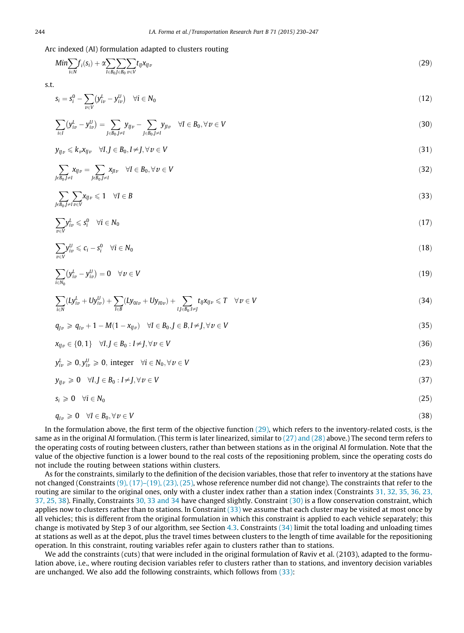<span id="page-14-0"></span>Arc indexed (AI) formulation adapted to clusters routing

$$
Min \sum_{i \in N} f_i(s_i) + \alpha \sum_{l \in B_0} \sum_{j \in B_0} \sum_{v \in V} t_{lj} x_{ljv} \tag{29}
$$

s.t.

$$
s_i = s_i^0 - \sum_{v \in V} (y_{iv}^L - y_{iv}^U) \quad \forall i \in N_0
$$
\n(12)

$$
\sum_{i \in I} (y_{iv}^L - y_{iv}^U) = \sum_{J \in B_0, J \neq I} y_{IJ} - \sum_{J \in B_0, J \neq I} y_{JI} \quad \forall I \in B_0, \forall v \in V
$$
\n(30)

$$
y_{ijv} \leq k_v x_{ijv} \quad \forall l, j \in B_0, l \neq j, \forall v \in V
$$
\n
$$
(31)
$$

$$
\sum_{J \in B_0, J \neq I} x_{IJ \nu} = \sum_{J \in B_0, J \neq I} x_{JI \nu} \quad \forall I \in B_0, \forall \nu \in V
$$
\n(32)

$$
\sum_{J \in B_0, J \neq I} \sum_{v \in V} x_{IJv} \leq 1 \quad \forall I \in B
$$
\n(33)

$$
\sum_{v \in V} y_{iv}^L \leqslant s_i^0 \quad \forall i \in N_0
$$

$$
\sum_{v \in V} y_{iv}^U \leqslant c_i - s_i^0 \quad \forall i \in N_0
$$
\n
$$
(18)
$$

$$
\sum_{i\in\mathbb{N}_0} (y_{iv}^L - y_{iv}^U) = 0 \quad \forall v \in V
$$
\n
$$
(19)
$$

$$
\sum_{i\in N} (Ly_{iv}^L + Uy_{iv}^U) + \sum_{I\in B} (Ly_{01v} + Uy_{10v}) + \sum_{I,J\in B_0 \cdot I\neq J} t_{IJ}x_{IJv} \le T \quad \forall v \in V
$$
\n(34)

$$
q_{j\nu} \geqslant q_{l\nu} + 1 - M(1 - x_{ij\nu}) \quad \forall l \in B_0, J \in B, l \neq J, \forall \nu \in V
$$
\n
$$
(35)
$$

$$
x_{IJv} \in \{0,1\} \quad \forall I,J \in B_0 : I \neq J, \forall v \in V \tag{36}
$$

$$
y_{iv}^L \geqslant 0, y_{iv}^U \geqslant 0, \text{ integer } \forall i \in N_0, \forall v \in V
$$
\n
$$
(23)
$$

$$
y_{IJ\, \nu} \geqslant 0 \quad \forall I, J \in B_0 : I \neq J, \forall \nu \in V \tag{37}
$$

$$
s_i \geqslant 0 \quad \forall i \in N_0 \tag{25}
$$

$$
q_{1\nu} \geqslant 0 \quad \forall I \in B_0, \forall \nu \in V \tag{38}
$$

In the formulation above, the first term of the objective function (29), which refers to the inventory-related costs, is the same as in the original AI formulation. (This term is later linearized, similar to  $(27)$  and  $(28)$  above.) The second term refers to the operating costs of routing between clusters, rather than between stations as in the original AI formulation. Note that the value of the objective function is a lower bound to the real costs of the repositioning problem, since the operating costs do not include the routing between stations within clusters.

As for the constraints, similarly to the definition of the decision variables, those that refer to inventory at the stations have not changed (Constraints [\(9\), \(17\)–\(19\), \(23\), \(25\),](#page-5-0) whose reference number did not change). The constraints that refer to the routing are similar to the original ones, only with a cluster index rather than a station index (Constraints 31, 32, 35, 36, 23, 37, 25, 38). Finally, Constraints 30, 33 and 34 have changed slightly. Constraint (30) is a flow conservation constraint, which applies now to clusters rather than to stations. In Constraint (33) we assume that each cluster may be visited at most once by all vehicles; this is different from the original formulation in which this constraint is applied to each vehicle separately; this change is motivated by Step 3 of our algorithm, see Section [4.3](#page-7-0). Constraints (34) limit the total loading and unloading times at stations as well as at the depot, plus the travel times between clusters to the length of time available for the repositioning operation. In this constraint, routing variables refer again to clusters rather than to stations.

We add the constraints (cuts) that were included in the original formulation of Raviv et al. (2103), adapted to the formulation above, i.e., where routing decision variables refer to clusters rather than to stations, and inventory decision variables are unchanged. We also add the following constraints, which follows from (33):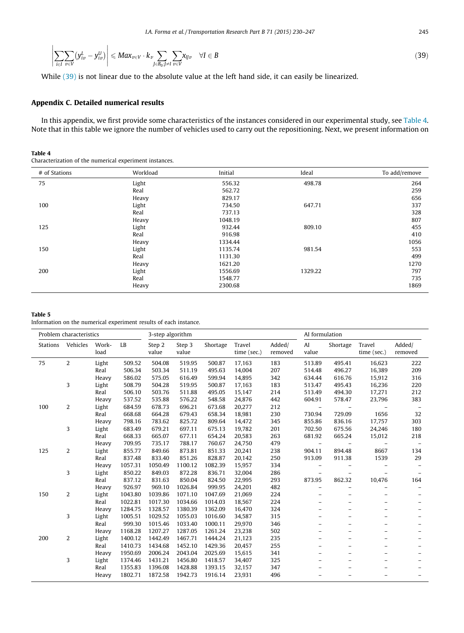<span id="page-15-0"></span>
$$
\left|\sum_{i\in I}\sum_{v\in V}(y_{iv}^l - y_{iv}^U)\right| \leq Max_{v\in V} \cdot k_v \sum_{J\in B_0} \sum_{j\neq I} \sum_{v\in V} x_{IJv} \quad \forall I \in B
$$
\n(39)

While [\(39\)](#page-14-0) is not linear due to the absolute value at the left hand side, it can easily be linearized.

# Appendix C. Detailed numerical results

In this appendix, we first provide some characteristics of the instances considered in our experimental study, see Table 4. Note that in this table we ignore the number of vehicles used to carry out the repositioning. Next, we present information on

# Table 4

Characterization of the numerical experiment instances.

| # of Stations | Workload | Initial | Ideal   | To add/remove |
|---------------|----------|---------|---------|---------------|
| 75            | Light    | 556.32  | 498.78  | 264           |
|               | Real     | 562.72  |         | 259           |
|               | Heavy    | 829.17  |         | 656           |
| 100           | Light    | 734.50  | 647.71  | 337           |
|               | Real     | 737.13  |         | 328           |
|               | Heavy    | 1048.19 |         | 807           |
| 125           | Light    | 932.44  | 809.10  | 455           |
|               | Real     | 916.98  |         | 410           |
|               | Heavy    | 1334.44 |         | 1056          |
| 150           | Light    | 1135.74 | 981.54  | 553           |
|               | Real     | 1131.30 |         | 499           |
|               | Heavy    | 1621.20 |         | 1270          |
| 200           | Light    | 1556.69 | 1329.22 | 797           |
|               | Real     | 1548.77 |         | 735           |
|               | Heavy    | 2300.68 |         | 1869          |

#### Table 5

Information on the numerical experiment results of each instance.

| Problem characteristics |                |               |         | 3-step algorithm |                 |          |                       | AI formulation    |                          |                          |                          |                          |
|-------------------------|----------------|---------------|---------|------------------|-----------------|----------|-----------------------|-------------------|--------------------------|--------------------------|--------------------------|--------------------------|
| Stations                | Vehicles       | Work-<br>load | LB      | Step 2<br>value  | Step 3<br>value | Shortage | Travel<br>time (sec.) | Added/<br>removed | AI<br>value              | Shortage                 | Travel<br>time (sec.)    | Added/<br>removed        |
| 75                      | $\overline{c}$ | Light         | 509.52  | 504.08           | 519.95          | 500.87   | 17,163                | 183               | 513.89                   | 495.41                   | 16,623                   | 222                      |
|                         |                | Real          | 506.34  | 503.34           | 511.19          | 495.63   | 14,004                | 207               | 514.48                   | 496.27                   | 16,389                   | 209                      |
|                         |                | Heavy         | 586.02  | 575.05           | 616.49          | 599.94   | 14,895                | 342               | 634.44                   | 616.76                   | 15,912                   | 316                      |
|                         | 3              | Light         | 508.79  | 504.28           | 519.95          | 500.87   | 17,163                | 183               | 513.47                   | 495.43                   | 16,236                   | 220                      |
|                         |                | Real          | 506.10  | 503.76           | 511.88          | 495.05   | 15,147                | 214               | 513.49                   | 494.30                   | 17,271                   | 212                      |
|                         |                | Heavy         | 537.52  | 535.88           | 576.22          | 548.58   | 24,876                | 442               | 604.91                   | 578.47                   | 23,796                   | 383                      |
| 100                     | $\overline{2}$ | Light         | 684.59  | 678.73           | 696.21          | 673.68   | 20,277                | 212               | $\overline{\phantom{a}}$ |                          |                          |                          |
|                         |                | Real          | 668.68  | 664.28           | 679.43          | 658.34   | 18,981                | 230               | 730.94                   | 729.09                   | 1656                     | 32                       |
|                         |                | Heavy         | 798.16  | 783.62           | 825.72          | 809.64   | 14,472                | 345               | 855.86                   | 836.16                   | 17,757                   | 303                      |
|                         | 3              | Light         | 683.49  | 679.21           | 697.11          | 675.13   | 19,782                | 201               | 702.50                   | 675.56                   | 24,246                   | 180                      |
|                         |                | Real          | 668.33  | 665.07           | 677.11          | 654.24   | 20,583                | 263               | 681.92                   | 665.24                   | 15,012                   | 218                      |
|                         |                | Heavy         | 709.95  | 735.17           | 788.17          | 760.67   | 24,750                | 479               | $\overline{\phantom{a}}$ | $\qquad \qquad -$        | $\qquad \qquad -$        |                          |
| 125                     | $\overline{2}$ | Light         | 855.77  | 849.66           | 873.81          | 851.33   | 20,241                | 238               | 904.11                   | 894.48                   | 8667                     | 134                      |
|                         |                | Real          | 837.48  | 833.40           | 851.26          | 828.87   | 20,142                | 250               | 913.09                   | 911.38                   | 1539                     | 29                       |
|                         |                | Heavy         | 1057.31 | 1050.49          | 1100.12         | 1082.39  | 15,957                | 334               |                          |                          |                          |                          |
|                         | 3              | Light         | 850.22  | 849.03           | 872.28          | 836.71   | 32,004                | 286               |                          | $\qquad \qquad -$        | $\overline{\phantom{m}}$ |                          |
|                         |                | Real          | 837.12  | 831.63           | 850.04          | 824.50   | 22,995                | 293               | 873.95                   | 862.32                   | 10,476                   | 164                      |
|                         |                | Heavy         | 926.97  | 969.10           | 1026.84         | 999.95   | 24,201                | 482               | $\qquad \qquad -$        |                          |                          |                          |
| 150                     | 2              | Light         | 1043.80 | 1039.86          | 1071.10         | 1047.69  | 21,069                | 224               |                          |                          |                          |                          |
|                         |                | Real          | 1022.81 | 1017.30          | 1034.66         | 1014.03  | 18,567                | 224               |                          |                          |                          |                          |
|                         |                | Heavy         | 1284.75 | 1328.57          | 1380.39         | 1362.09  | 16,470                | 324               |                          |                          |                          |                          |
|                         | 3              | Light         | 1005.51 | 1029.52          | 1055.03         | 1016.60  | 34,587                | 315               | -                        | $\overline{\phantom{0}}$ |                          |                          |
|                         |                | Real          | 999.30  | 1015.46          | 1033.40         | 1000.11  | 29,970                | 346               | $\overline{\phantom{0}}$ | $\overline{\phantom{0}}$ |                          |                          |
|                         |                | Heavy         | 1168.28 | 1207.27          | 1287.05         | 1261.24  | 23,238                | 502               |                          |                          |                          |                          |
| 200                     | $\overline{2}$ | Light         | 1400.12 | 1442.49          | 1467.71         | 1444.24  | 21,123                | 235               |                          | $\overline{\phantom{0}}$ |                          |                          |
|                         |                | Real          | 1410.73 | 1434.68          | 1452.10         | 1429.36  | 20,457                | 255               | $\overline{\phantom{0}}$ | $\overline{\phantom{0}}$ |                          | $\overline{\phantom{0}}$ |
|                         |                | Heavy         | 1950.69 | 2006.24          | 2043.04         | 2025.69  | 15,615                | 341               |                          | $\overline{\phantom{0}}$ |                          | $\overline{\phantom{0}}$ |
|                         | 3              | Light         | 1374.46 | 1431.21          | 1456.80         | 1418.57  | 34,407                | 325               |                          |                          |                          |                          |
|                         |                | Real          | 1355.83 | 1396.08          | 1428.88         | 1393.15  | 32,157                | 347               |                          |                          |                          |                          |
|                         |                | Heavy         | 1802.71 | 1872.58          | 1942.73         | 1916.14  | 23,931                | 496               |                          |                          |                          |                          |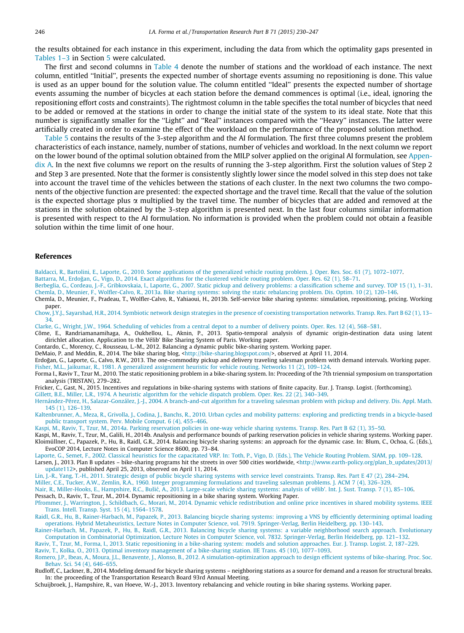<span id="page-16-0"></span>the results obtained for each instance in this experiment, including the data from which the optimality gaps presented in [Tables 1–3](#page-8-0) in Section [5](#page-7-0) were calculated.

The first and second columns in [Table 4](#page-15-0) denote the number of stations and the workload of each instance. The next column, entitled ''Initial'', presents the expected number of shortage events assuming no repositioning is done. This value is used as an upper bound for the solution value. The column entitled ''Ideal'' presents the expected number of shortage events assuming the number of bicycles at each station before the demand commences is optimal (i.e., ideal, ignoring the repositioning effort costs and constraints). The rightmost column in the table specifies the total number of bicycles that need to be added or removed at the stations in order to change the initial state of the system to its ideal state. Note that this number is significantly smaller for the ''Light'' and ''Real'' instances compared with the ''Heavy'' instances. The latter were artificially created in order to examine the effect of the workload on the performance of the proposed solution method.

[Table 5](#page-15-0) contains the results of the 3-step algorithm and the AI formulation. The first three columns present the problem characteristics of each instance, namely, number of stations, number of vehicles and workload. In the next column we report on the lower bound of the optimal solution obtained from the MILP solver applied on the original AI formulation, see [Appen](#page-11-0)[dix A.](#page-11-0) In the next five columns we report on the results of running the 3-step algorithm. First the solution values of Step 2 and Step 3 are presented. Note that the former is consistently slightly lower since the model solved in this step does not take into account the travel time of the vehicles between the stations of each cluster. In the next two columns the two components of the objective function are presented: the expected shortage and the travel time. Recall that the value of the solution is the expected shortage plus  $\alpha$  multiplied by the travel time. The number of bicycles that are added and removed at the stations in the solution obtained by the 3-step algorithm is presented next. In the last four columns similar information is presented with respect to the AI formulation. No information is provided when the problem could not obtain a feasible solution within the time limit of one hour.

### References

- [Baldacci, R., Bartolini, E., Laporte, G., 2010. Some applications of the generalized vehicle routing problem. J. Oper. Res. Soc. 61 \(7\), 1072–1077](http://refhub.elsevier.com/S0191-2615(14)00172-6/h0005).
- Battarra, M., Erdoğan, G., Vigo, D., 2014. Exact algorithms for the clustered vehicle routing problem. Oper. Res. 62 (1), 58–71.
- [Berbeglia, G., Cordeau, J.-F., Gribkovskaia, I., Laporte, G., 2007. Static pickup and delivery problems: a classification scheme and survey. TOP 15 \(1\), 1–31.](http://refhub.elsevier.com/S0191-2615(14)00172-6/h0015) [Chemla, D., Meunier, F., Wolfler-Calvo, R., 2013a. Bike sharing systems: solving the static rebalancing problem. Dis. Optim. 10 \(2\), 120–146.](http://refhub.elsevier.com/S0191-2615(14)00172-6/h0020)
- Chemla, D., Meunier, F., Pradeau, T., Wolfler-Calvo, R., Yahiaoui, H., 2013b. Self-service bike sharing systems: simulation, repositioning, pricing. Working paper.
- [Chow, J.Y.J., Sayarshad, H.R., 2014. Symbiotic network design strategies in the presence of coexisting transportation networks. Transp. Res. Part](http://refhub.elsevier.com/S0191-2615(14)00172-6/h0030) B 62 (1), 13– [34.](http://refhub.elsevier.com/S0191-2615(14)00172-6/h0030)
- [Clarke, G., Wright, J.W., 1964. Scheduling of vehicles from a central depot to a number of delivery points. Oper. Res. 12 \(4\), 568–581](http://refhub.elsevier.com/S0191-2615(14)00172-6/h0035).
- Côme, E., Randriamanamihaga, A., Oukhellou, L., Aknin, P., 2013. Spatio-temporal analysis of dynamic origin-destination data using latent dirichlet allocation. Application to the Vélib' Bike Sharing System of Paris. Working paper.
- Contardo, C., Morency, C., Rousseau, L.-M., 2012. Balancing a dynamic public bike-sharing system. Working paper.
- DeMaio, P. and Meddin, R., 2014. The bike sharing blog, <[http://bike-sharing.blogspot.com/>](http://bike-sharing.blogspot.com/), observed at April 11, 2014.
- Erdog˘an, G., Laporte, G., Calvo, R.W., 2013. The one-commodity pickup and delivery traveling salesman problem with demand intervals. Working paper. [Fisher, M.L., Jaikumar, R., 1981. A generalized assignment heuristic for vehicle routing. Networks 11 \(2\), 109–124](http://refhub.elsevier.com/S0191-2615(14)00172-6/h0065).
- Forma I., Raviv T., Tzur M., 2010. The static repositioning problem in a bike-sharing system. In: Proceeding of the 7th triennial symposium on transportation analysis (TRISTAN), 279–282.
- Fricker, C., Gast, N., 2015. Incentives and regulations in bike-sharing systems with stations of finite capacity. Eur. J. Transp. Logist. (forthcoming).

[Gillett, B.E., Miller, L.R., 1974. A heuristic algorithm for the vehicle dispatch problem. Oper. Res. 22 \(2\), 340–349.](http://refhub.elsevier.com/S0191-2615(14)00172-6/h0080)

[Hernández-Pérez, H., Salazar-González, J.-J., 2004. A branch-and-cut algorithm for a traveling salesman problem with pickup and delivery. Dis. Appl. Math.](http://refhub.elsevier.com/S0191-2615(14)00172-6/h0085) [145 \(1\), 126–139.](http://refhub.elsevier.com/S0191-2615(14)00172-6/h0085)

[Kaltenbrunner, A., Meza, R., Grivolla, J., Codina, J., Banchs, R., 2010. Urban cycles and mobility patterns: exploring and predicting trends in a bicycle-based](http://refhub.elsevier.com/S0191-2615(14)00172-6/h0090) [public transport system. Perv. Mobile Comput. 6 \(4\), 455–466](http://refhub.elsevier.com/S0191-2615(14)00172-6/h0090).

[Kaspi, M., Raviv, T., Tzur, M., 2014a. Parking reservation policies in one-way vehicle sharing systems. Transp. Res. Part B 62 \(1\), 35–50](http://refhub.elsevier.com/S0191-2615(14)00172-6/h0095).

- Kaspi, M., Raviv, T., Tzur, M., Galili, H., 2014b. Analysis and performance bounds of parking reservation policies in vehicle sharing systems. Working paper. Kloimüllner, C., Papazek, P., Hu, B., Raidl, G.R., 2014. Balancing bicycle sharing systems: an approach for the dynamic case. In: Blum, C., Ochoa, G. (Eds.), EvoCOP 2014, Lecture Notes in Computer Science 8600, pp. 73–84.
- [Laporte, G., Semet, F., 2002. Classical heuristics for the capacitated VRP. In: Toth, P., Vigo, D. \(Eds.\), The Vehicle Routing Problem. SIAM, pp. 109–128](http://refhub.elsevier.com/S0191-2615(14)00172-6/h0110).
- Larsen, J., 2013. Plan B updates bike-sharing programs hit the streets in over 500 cities worldwide, [<http://www.earth-policy.org/plan\\_b\\_updates/2013/](http://www.earth-policy.org/plan_b_updates/2013/update112) [update112>](http://www.earth-policy.org/plan_b_updates/2013/update112), published April 25, 2013, observed on April 11, 2014.
- [Lin, J.-R., Yang, T.-H., 2011. Strategic design of public bicycle sharing systems with service level constraints. Transp. Res. Part E 47 \(2\), 284–294.](http://refhub.elsevier.com/S0191-2615(14)00172-6/h0120)

[Miller, C.E., Tucker, A.W., Zemlin, R.A., 1960. Integer programming formulations and traveling salesman problems. J. ACM 7 \(4\), 326–329](http://refhub.elsevier.com/S0191-2615(14)00172-6/h0125).

- [Nair, R., Miller-Hooks, E., Hampshire, R.C., Bušic´, A., 2013. Large-scale vehicle sharing systems: analysis of vélib'. Int. J. Sust. Transp. 7 \(1\), 85–106](http://refhub.elsevier.com/S0191-2615(14)00172-6/h0130). Pessach, D., Raviv, T., Tzur, M., 2014. Dynamic repositioning in a bike sharing system. Working Paper.
- [Pfrommer, J., Warrington, J., Schildbach, G., Morari, M., 2014. Dynamic vehicle redistribution and online price incentives in shared mobility systems. IEEE](http://refhub.elsevier.com/S0191-2615(14)00172-6/h0140) [Trans. Intell. Transp. Syst. 15 \(4\), 1564–1578.](http://refhub.elsevier.com/S0191-2615(14)00172-6/h0140)
- [Raidl, G.R., Hu, B., Rainer-Harbach, M., Papazek, P., 2013. Balancing bicycle sharing systems: improving a VNS by efficiently determining optimal loading](http://refhub.elsevier.com/S0191-2615(14)00172-6/h0145) [operations. Hybrid Metaheuristics, Lecture Notes in Computer Science, vol. 7919. Springer-Verlag, Berlin Heidelberg, pp. 130–143](http://refhub.elsevier.com/S0191-2615(14)00172-6/h0145).
- [Rainer-Harbach, M., Papazek, P., Hu, B., Raidl, G.R., 2013. Balancing bicycle sharing systems: a variable neighborhood search approach. Evolutionary](http://refhub.elsevier.com/S0191-2615(14)00172-6/h0150) [Computation in Combinatorial Optimization, Lecture Notes in Computer Science, vol. 7832. Springer-Verlag, Berlin Heidelberg, pp. 121–132](http://refhub.elsevier.com/S0191-2615(14)00172-6/h0150).
- [Raviv, T., Tzur, M., Forma, I., 2013. Static repositioning in a bike-sharing system: models and solution approaches. Eur. J. Transp. Logist. 2, 187–229](http://refhub.elsevier.com/S0191-2615(14)00172-6/h0155). [Raviv, T., Kolka, O., 2013. Optimal inventory management of a bike-sharing station. IIE Trans. 45 \(10\), 1077–1093.](http://refhub.elsevier.com/S0191-2615(14)00172-6/h0160)
- [Romero, J.P., Ibeas, A., Moura, J.L., Benavente, J., Alonso, B., 2012. A simulation-optimization approach to design efficient systems of bike-sharing. Proc. Soc.](http://refhub.elsevier.com/S0191-2615(14)00172-6/h0165) [Behav. Sci. 54 \(4\), 646–655](http://refhub.elsevier.com/S0191-2615(14)00172-6/h0165).
- Rudloff, C., Lackner, B., 2014. Modeling demand for bicycle sharing systems neighboring stations as a source for demand and a reason for structural breaks. In: the proceeding of the Transportation Research Board 93rd Annual Meeting.

Schuijbroek, J., Hampshire, R., van Hoeve, W.-J., 2013. Inventory rebalancing and vehicle routing in bike sharing systems. Working paper.